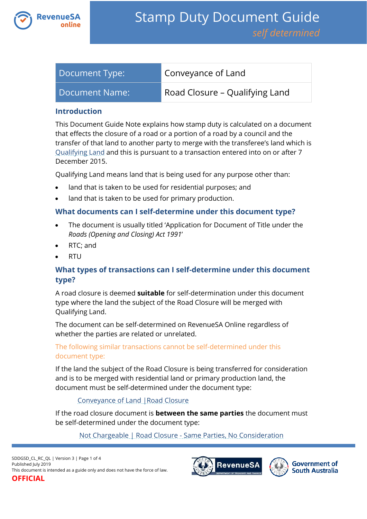

| Document Type: | Conveyance of Land             |
|----------------|--------------------------------|
| Document Name: | Road Closure – Qualifying Land |

#### **Introduction**

This Document Guide Note explains how stamp duty is calculated on a document that effects the closure of a road or a portion of a road by a council and the transfer of that land to another party to merge with the transferee's land which is [Qualifying Land](https://www.revenuesa.sa.gov.au/stampduty/stamp-duty-document-guide#Qualifying) and this is pursuant to a transaction entered into on or after 7 December 2015.

Qualifying Land means land that is being used for any purpose other than:

- land that is taken to be used for residential purposes; and
- land that is taken to be used for primary production.

## **What documents can I self-determine under this document type?**

- The document is usually titled 'Application for Document of Title under the *Roads (Opening and Closing) Act 1991*'
- RTC; and
- RTU

## **What types of transactions can I self-determine under this document type?**

A road closure is deemed **suitable** for self-determination under this document type where the land the subject of the Road Closure will be merged with Qualifying Land.

The document can be self-determined on RevenueSA Online regardless of whether the parties are related or unrelated.

#### The following similar transactions cannot be self-determined under this document type:

If the land the subject of the Road Closure is being transferred for consideration and is to be merged with residential land or primary production land, the document must be self-determined under the document type:

#### [Conveyance of Land |Road Closure](https://www.revenuesa.sa.gov.au/stampduty/stamp-duty-document-guide/self-determined/conveyance-of-land/sddgsd_cl_rc_rpp)

If the road closure document is **between the same parties** the document must be self-determined under the document type:

# [Not Chargeable | Road Closure -](https://www.revenuesa.sa.gov.au/stampduty/stamp-duty-document-guide/self-determined/not-chargeable/sddgsd_nc_rc) Same Parties, No Consideration

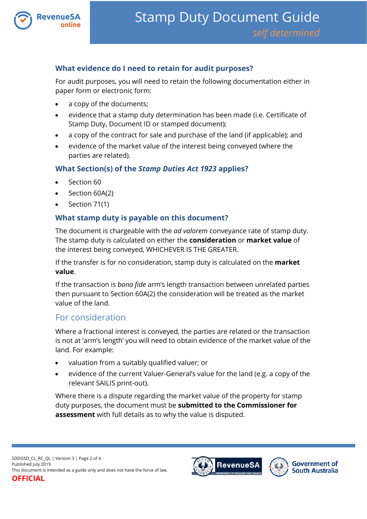

# **What evidence do I need to retain for audit purposes?**

For audit purposes, you will need to retain the following documentation either in paper form or electronic form:

- a copy of the documents;
- evidence that a stamp duty determination has been made (i.e. Certificate of Stamp Duty, Document ID or stamped document);
- a copy of the contract for sale and purchase of the land (if applicable); and
- evidence of the market value of the interest being conveyed (where the parties are related).

## **What Section(s) of the** *Stamp Duties Act 1923* **applies?**

- Section 60
- Section 60A(2)
- Section 71(1)

## **What stamp duty is payable on this document?**

The document is chargeable with the *ad valorem* conveyance rate of stamp duty. The stamp duty is calculated on either the **consideration** or **market value** of the interest being conveyed, WHICHEVER IS THE GREATER.

If the transfer is for no consideration, stamp duty is calculated on the **market value**.

If the transaction is *bona fide* arm's length transaction between unrelated parties then pursuant to Section 60A(2) the consideration will be treated as the market value of the land.

# For consideration

Where a fractional interest is conveyed, the parties are related or the transaction is not at 'arm's length' you will need to obtain evidence of the market value of the land. For example:

- valuation from a suitably qualified valuer; or
- evidence of the current Valuer-General's value for the land (e.g. a copy of the relevant SAILIS print-out).

Where there is a dispute regarding the market value of the property for stamp duty purposes, the document must be **submitted to the Commissioner for assessment** with full details as to why the value is disputed.



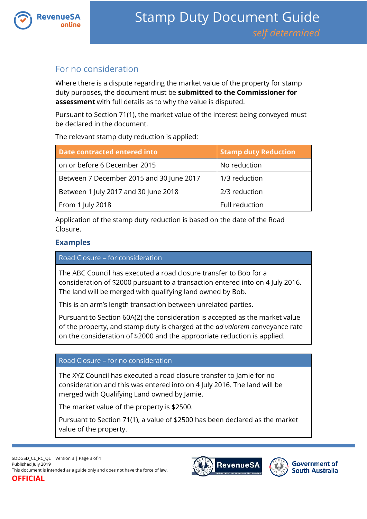

# For no consideration

Where there is a dispute regarding the market value of the property for stamp duty purposes, the document must be **submitted to the Commissioner for assessment** with full details as to why the value is disputed.

Pursuant to Section 71(1), the market value of the interest being conveyed must be declared in the document.

The relevant stamp duty reduction is applied:

| <b>Date contracted entered into</b>      | <b>Stamp duty Reduction</b> |
|------------------------------------------|-----------------------------|
| on or before 6 December 2015             | No reduction                |
| Between 7 December 2015 and 30 June 2017 | 1/3 reduction               |
| Between 1 July 2017 and 30 June 2018     | 2/3 reduction               |
| From 1 July 2018                         | Full reduction              |

Application of the stamp duty reduction is based on the date of the Road Closure.

# **Examples**

### Road Closure – for consideration

The ABC Council has executed a road closure transfer to Bob for a consideration of \$2000 pursuant to a transaction entered into on 4 July 2016. The land will be merged with qualifying land owned by Bob.

This is an arm's length transaction between unrelated parties.

Pursuant to Section 60A(2) the consideration is accepted as the market value of the property, and stamp duty is charged at the *ad valorem* conveyance rate on the consideration of \$2000 and the appropriate reduction is applied.

#### Road Closure – for no consideration

The XYZ Council has executed a road closure transfer to Jamie for no consideration and this was entered into on 4 July 2016. The land will be merged with Qualifying Land owned by Jamie.

The market value of the property is \$2500.

Pursuant to Section 71(1), a value of \$2500 has been declared as the market value of the property.